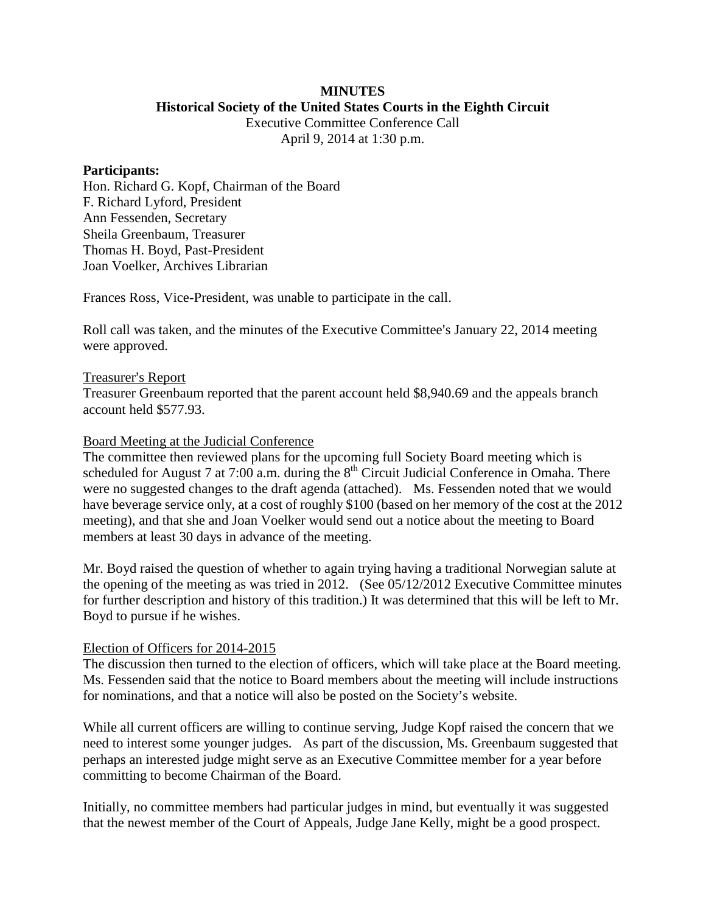### **MINUTES Historical Society of the United States Courts in the Eighth Circuit**

Executive Committee Conference Call April 9, 2014 at 1:30 p.m.

#### **Participants:**

Hon. Richard G. Kopf, Chairman of the Board F. Richard Lyford, President Ann Fessenden, Secretary Sheila Greenbaum, Treasurer Thomas H. Boyd, Past-President Joan Voelker, Archives Librarian

Frances Ross, Vice-President, was unable to participate in the call.

Roll call was taken, and the minutes of the Executive Committee's January 22, 2014 meeting were approved.

### Treasurer's Report

Treasurer Greenbaum reported that the parent account held \$8,940.69 and the appeals branch account held \$577.93.

### Board Meeting at the Judicial Conference

The committee then reviewed plans for the upcoming full Society Board meeting which is scheduled for August 7 at 7:00 a.m. during the  $8<sup>th</sup>$  Circuit Judicial Conference in Omaha. There were no suggested changes to the draft agenda (attached). Ms. Fessenden noted that we would have beverage service only, at a cost of roughly \$100 (based on her memory of the cost at the 2012 meeting), and that she and Joan Voelker would send out a notice about the meeting to Board members at least 30 days in advance of the meeting.

Mr. Boyd raised the question of whether to again trying having a traditional Norwegian salute at the opening of the meeting as was tried in 2012. (See 05/12/2012 Executive Committee minutes for further description and history of this tradition.) It was determined that this will be left to Mr. Boyd to pursue if he wishes.

## Election of Officers for 2014-2015

The discussion then turned to the election of officers, which will take place at the Board meeting. Ms. Fessenden said that the notice to Board members about the meeting will include instructions for nominations, and that a notice will also be posted on the Society's website.

While all current officers are willing to continue serving, Judge Kopf raised the concern that we need to interest some younger judges. As part of the discussion, Ms. Greenbaum suggested that perhaps an interested judge might serve as an Executive Committee member for a year before committing to become Chairman of the Board.

Initially, no committee members had particular judges in mind, but eventually it was suggested that the newest member of the Court of Appeals, Judge Jane Kelly, might be a good prospect.